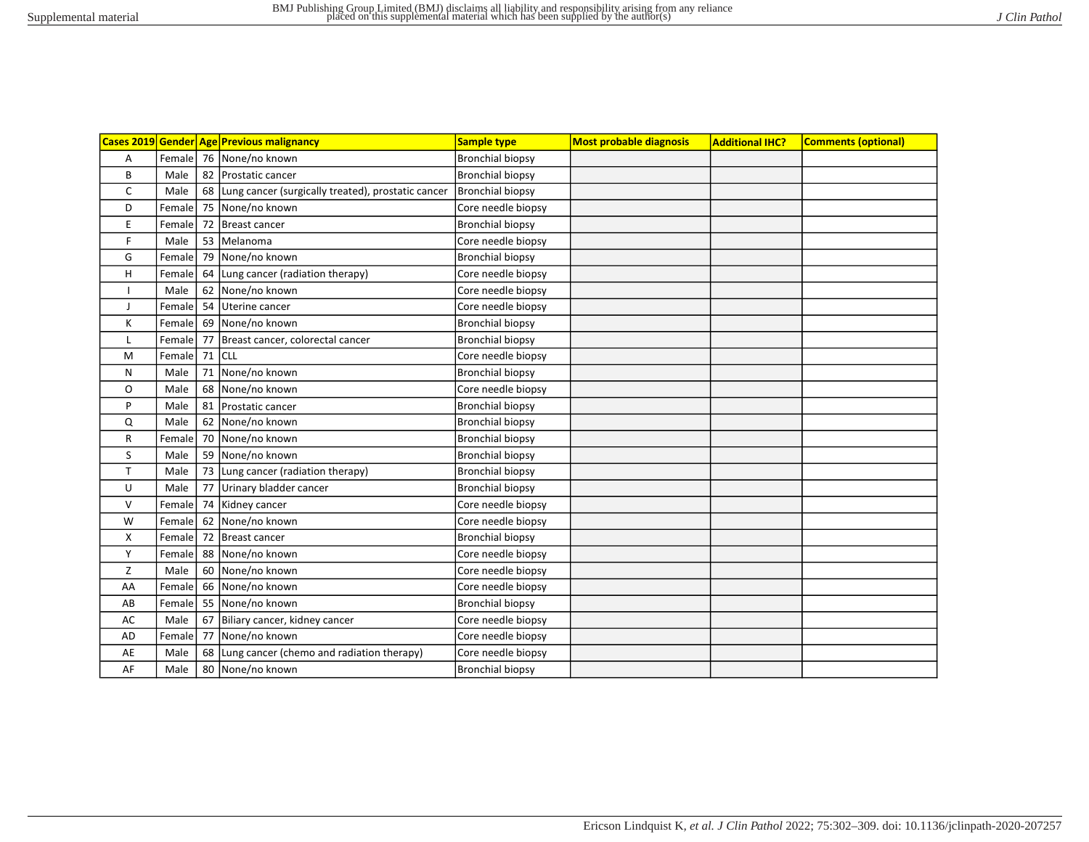|              |        |    | Cases 2019 Gender Age Previous malignancy             | <b>Sample type</b>      | <b>Most probable diagnosis</b> | <b>Additional IHC?</b> | <b>Comments (optional)</b> |
|--------------|--------|----|-------------------------------------------------------|-------------------------|--------------------------------|------------------------|----------------------------|
| A            |        |    | Female   76   None/no known                           | <b>Bronchial biopsy</b> |                                |                        |                            |
| B            | Male   | 82 | Prostatic cancer                                      | <b>Bronchial biopsy</b> |                                |                        |                            |
| $\mathsf{C}$ | Male   |    | 68 Lung cancer (surgically treated), prostatic cancer | <b>Bronchial biopsy</b> |                                |                        |                            |
| D            | Female | 75 | None/no known                                         | Core needle biopsy      |                                |                        |                            |
| E            | Female | 72 | Breast cancer                                         | <b>Bronchial biopsy</b> |                                |                        |                            |
| F            | Male   | 53 | <b>Melanoma</b>                                       | Core needle biopsy      |                                |                        |                            |
| G            | Female | 79 | None/no known                                         | <b>Bronchial biopsy</b> |                                |                        |                            |
| Н            | Female | 64 | Lung cancer (radiation therapy)                       | Core needle biopsy      |                                |                        |                            |
|              | Male   | 62 | None/no known                                         | Core needle biopsy      |                                |                        |                            |
| J            | Female | 54 | Uterine cancer                                        | Core needle biopsy      |                                |                        |                            |
| К            | Female | 69 | None/no known                                         | <b>Bronchial biopsy</b> |                                |                        |                            |
| L            | Female | 77 | Breast cancer, colorectal cancer                      | <b>Bronchial biopsy</b> |                                |                        |                            |
| M            | Female | 71 | <b>CLL</b>                                            | Core needle biopsy      |                                |                        |                            |
| N            | Male   | 71 | None/no known                                         | <b>Bronchial biopsy</b> |                                |                        |                            |
| $\circ$      | Male   |    | 68 None/no known                                      | Core needle biopsy      |                                |                        |                            |
| P            | Male   | 81 | Prostatic cancer                                      | <b>Bronchial biopsy</b> |                                |                        |                            |
| Q            | Male   | 62 | None/no known                                         | <b>Bronchial biopsy</b> |                                |                        |                            |
| $\mathsf{R}$ | Female |    | 70 None/no known                                      | <b>Bronchial biopsy</b> |                                |                        |                            |
| S            | Male   | 59 | None/no known                                         | <b>Bronchial biopsy</b> |                                |                        |                            |
| $\mathsf{T}$ | Male   | 73 | Lung cancer (radiation therapy)                       | <b>Bronchial biopsy</b> |                                |                        |                            |
| U            | Male   | 77 | Urinary bladder cancer                                | <b>Bronchial biopsy</b> |                                |                        |                            |
| $\vee$       | Female | 74 | Kidney cancer                                         | Core needle biopsy      |                                |                        |                            |
| W            | Female | 62 | None/no known                                         | Core needle biopsy      |                                |                        |                            |
| Χ            | Female | 72 | Breast cancer                                         | <b>Bronchial biopsy</b> |                                |                        |                            |
| Y            | Female | 88 | None/no known                                         | Core needle biopsy      |                                |                        |                            |
| Z            | Male   |    | 60 None/no known                                      | Core needle biopsy      |                                |                        |                            |
| AA           | Female | 66 | None/no known                                         | Core needle biopsy      |                                |                        |                            |
| AB           | Female | 55 | None/no known                                         | <b>Bronchial biopsy</b> |                                |                        |                            |
| AC           | Male   | 67 | Biliary cancer, kidney cancer                         | Core needle biopsy      |                                |                        |                            |
| AD           | Female | 77 | None/no known                                         | Core needle biopsy      |                                |                        |                            |
| AE           | Male   | 68 | Lung cancer (chemo and radiation therapy)             | Core needle biopsy      |                                |                        |                            |
| AF           | Male   |    | 80 None/no known                                      | <b>Bronchial biopsy</b> |                                |                        |                            |